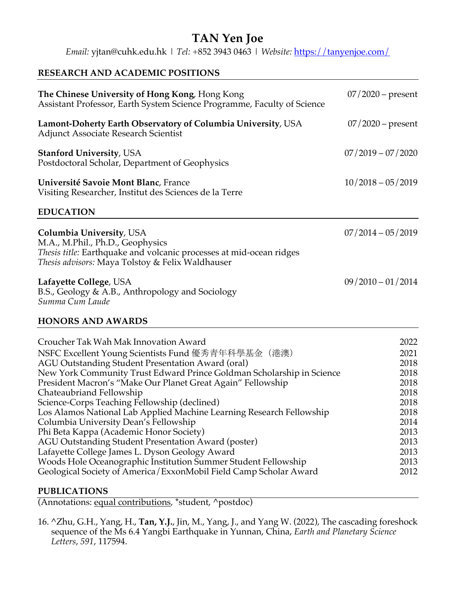# **TAN Yen Joe** *Email:* yjtan@cuhk.edu.hk | *Tel:* +852 3943 0463 | *Website:* https://tanyenjoe.com/

### **RESEARCH AND ACADEMIC POSITIONS**

| The Chinese University of Hong Kong, Hong Kong<br>Assistant Professor, Earth System Science Programme, Faculty of Science                                                               | $07/2020$ – present |  |
|-----------------------------------------------------------------------------------------------------------------------------------------------------------------------------------------|---------------------|--|
| Lamont-Doherty Earth Observatory of Columbia University, USA<br><b>Adjunct Associate Research Scientist</b>                                                                             | $07/2020$ – present |  |
| <b>Stanford University, USA</b><br>Postdoctoral Scholar, Department of Geophysics                                                                                                       | $07/2019 - 07/2020$ |  |
| Université Savoie Mont Blanc, France<br>Visiting Researcher, Institut des Sciences de la Terre                                                                                          | $10/2018 - 05/2019$ |  |
| <b>EDUCATION</b>                                                                                                                                                                        |                     |  |
| Columbia University, USA<br>M.A., M.Phil., Ph.D., Geophysics<br>Thesis title: Earthquake and volcanic processes at mid-ocean ridges<br>Thesis advisors: Maya Tolstoy & Felix Waldhauser | $07/2014 - 05/2019$ |  |
| Lafayette College, USA<br>B.S., Geology & A.B., Anthropology and Sociology<br>Summa Cum Laude                                                                                           | $09/2010 - 01/2014$ |  |

### **HONORS AND AWARDS**

| Croucher Tak Wah Mak Innovation Award                                 | 2022 |
|-----------------------------------------------------------------------|------|
| NSFC Excellent Young Scientists Fund 優秀青年科學基金 (港澳)                    | 2021 |
| AGU Outstanding Student Presentation Award (oral)                     | 2018 |
| New York Community Trust Edward Prince Goldman Scholarship in Science | 2018 |
| President Macron's "Make Our Planet Great Again" Fellowship           | 2018 |
| Chateaubriand Fellowship                                              | 2018 |
| Science-Corps Teaching Fellowship (declined)                          | 2018 |
| Los Alamos National Lab Applied Machine Learning Research Fellowship  | 2018 |
| Columbia University Dean's Fellowship                                 | 2014 |
| Phi Beta Kappa (Academic Honor Society)                               | 2013 |
| AGU Outstanding Student Presentation Award (poster)                   | 2013 |
| Lafayette College James L. Dyson Geology Award                        | 2013 |
| Woods Hole Oceanographic Institution Summer Student Fellowship        | 2013 |
| Geological Society of America/ExxonMobil Field Camp Scholar Award     | 2012 |
|                                                                       |      |

### **PUBLICATIONS**

(Annotations: equal contributions, \*student, ^postdoc)

16. ^Zhu, G.H., Yang, H., **Tan, Y.J.**, Jin, M., Yang, J., and Yang W. (2022), The cascading foreshock sequence of the Ms 6.4 Yangbi Earthquake in Yunnan, China, *Earth and Planetary Science Letters*, *591*, 117594.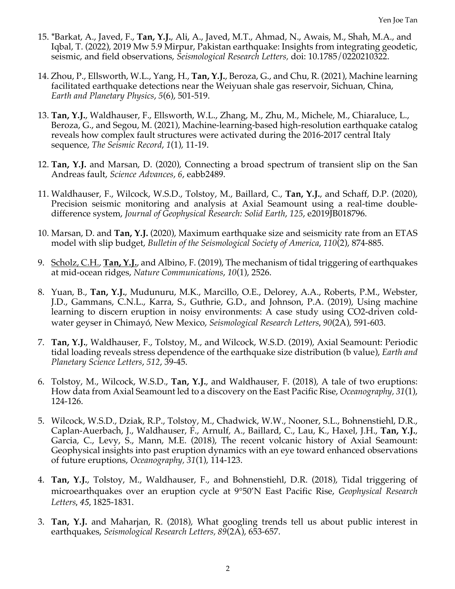- 15. \*Barkat, A., Javed, F., **Tan, Y.J.**, Ali, A., Javed, M.T., Ahmad, N., Awais, M., Shah, M.A., and Iqbal, T. (2022), 2019 Mw 5.9 Mirpur, Pakistan earthquake: Insights from integrating geodetic, seismic, and field observations, *Seismological Research Letters,* doi: 10.1785/0220210322.
- 14. Zhou, P., Ellsworth, W.L., Yang, H., **Tan, Y.J.**, Beroza, G., and Chu, R. (2021), Machine learning facilitated earthquake detections near the Weiyuan shale gas reservoir, Sichuan, China, *Earth and Planetary Physics*, *5*(6), 501-519.
- 13. **Tan, Y.J.**, Waldhauser, F., Ellsworth, W.L., Zhang, M., Zhu, M., Michele, M., Chiaraluce, L., Beroza, G., and Segou, M. (2021), Machine-learning-based high-resolution earthquake catalog reveals how complex fault structures were activated during the 2016-2017 central Italy sequence, *The Seismic Record*, *1*(1), 11-19.
- 12. **Tan, Y.J.** and Marsan, D. (2020), Connecting a broad spectrum of transient slip on the San Andreas fault, *Science Advances*, *6*, eabb2489.
- 11. Waldhauser, F., Wilcock, W.S.D., Tolstoy, M., Baillard, C., **Tan, Y.J.**, and Schaff, D.P. (2020), Precision seismic monitoring and analysis at Axial Seamount using a real-time doubledifference system, *Journal of Geophysical Research: Solid Earth*, *125*, e2019JB018796.
- 10. Marsan, D. and **Tan, Y.J.** (2020), Maximum earthquake size and seismicity rate from an ETAS model with slip budget, *Bulletin of the Seismological Society of America*, *110*(2), 874-885.
- 9. Scholz, C.H., **Tan, Y.J.**, and Albino, F. (2019), The mechanism of tidal triggering of earthquakes at mid-ocean ridges, *Nature Communications*, *10*(1), 2526.
- 8. Yuan, B., **Tan, Y.J.**, Mudunuru, M.K., Marcillo, O.E., Delorey, A.A., Roberts, P.M., Webster, J.D., Gammans, C.N.L., Karra, S., Guthrie, G.D., and Johnson, P.A. (2019), Using machine learning to discern eruption in noisy environments: A case study using CO2-driven coldwater geyser in Chimayó, New Mexico, *Seismological Research Letters*, *90*(2A), 591-603.
- 7. **Tan, Y.J.**, Waldhauser, F., Tolstoy, M., and Wilcock, W.S.D. (2019), Axial Seamount: Periodic tidal loading reveals stress dependence of the earthquake size distribution (b value), *Earth and Planetary Science Letters*, *512*, 39-45.
- 6. Tolstoy, M., Wilcock, W.S.D., **Tan, Y.J.**, and Waldhauser, F. (2018), A tale of two eruptions: How data from Axial Seamount led to a discovery on the East Pacific Rise, *Oceanography, 31*(1), 124-126.
- 5. Wilcock, W.S.D., Dziak, R.P., Tolstoy, M., Chadwick, W.W., Nooner, S.L., Bohnenstiehl, D.R., Caplan-Auerbach, J., Waldhauser, F., Arnulf, A., Baillard, C., Lau, K., Haxel, J.H., **Tan, Y.J.**, Garcia, C., Levy, S., Mann, M.E. (2018), The recent volcanic history of Axial Seamount: Geophysical insights into past eruption dynamics with an eye toward enhanced observations of future eruptions, *Oceanography, 31*(1), 114-123.
- 4. **Tan, Y.J.**, Tolstoy, M., Waldhauser, F., and Bohnenstiehl, D.R. (2018), Tidal triggering of microearthquakes over an eruption cycle at 9°50'N East Pacific Rise, *Geophysical Research Letters*, *45*, 1825-1831.
- 3. **Tan, Y.J.** and Maharjan, R. (2018), What googling trends tell us about public interest in earthquakes, *Seismological Research Letters, 89*(2A), 653-657.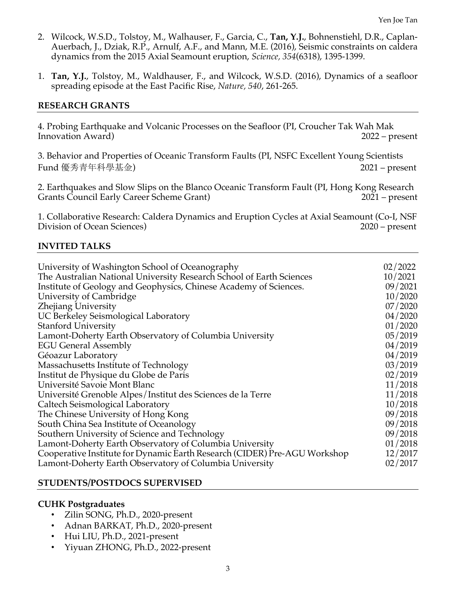- 2. Wilcock, W.S.D., Tolstoy, M., Walhauser, F., Garcia, C., **Tan, Y.J.**, Bohnenstiehl, D.R., Caplan-Auerbach, J., Dziak, R.P., Arnulf, A.F., and Mann, M.E. (2016), Seismic constraints on caldera dynamics from the 2015 Axial Seamount eruption, *Science, 354*(6318), 1395-1399.
- 1. **Tan, Y.J.**, Tolstoy, M., Waldhauser, F., and Wilcock, W.S.D. (2016), Dynamics of a seafloor spreading episode at the East Pacific Rise, *Nature, 540*, 261-265.

#### **RESEARCH GRANTS**

4. Probing Earthquake and Volcanic Processes on the Seafloor (PI, Croucher Tak Wah Mak Innovation Award) 2022 – present

3. Behavior and Properties of Oceanic Transform Faults (PI, NSFC Excellent Young Scientists Fund 優秀青年科學基金) 2021 – present

2. Earthquakes and Slow Slips on the Blanco Oceanic Transform Fault (PI, Hong Kong Research Grants Council Early Career Scheme Grant) 2021 – present

1. Collaborative Research: Caldera Dynamics and Eruption Cycles at Axial Seamount (Co-I, NSF Division of Ocean Sciences) 2020 – present

#### **INVITED TALKS**

| University of Washington School of Oceanography<br>The Australian National University Research School of Earth Sciences | 02/2022<br>10/2021 |
|-------------------------------------------------------------------------------------------------------------------------|--------------------|
| Institute of Geology and Geophysics, Chinese Academy of Sciences.                                                       | 09/2021            |
| University of Cambridge                                                                                                 | 10/2020            |
| Zhejiang University                                                                                                     | 07/2020            |
| UC Berkeley Seismological Laboratory                                                                                    | 04/2020            |
| <b>Stanford University</b>                                                                                              | 01/2020            |
| Lamont-Doherty Earth Observatory of Columbia University                                                                 | 05/2019            |
| <b>EGU General Assembly</b>                                                                                             | 04/2019            |
| Géoazur Laboratory                                                                                                      | 04/2019            |
| Massachusetts Institute of Technology                                                                                   | 03/2019            |
| Institut de Physique du Globe de Paris                                                                                  | 02/2019            |
| Université Savoie Mont Blanc                                                                                            | 11/2018            |
| Université Grenoble Alpes/Institut des Sciences de la Terre                                                             | 11/2018            |
| Caltech Seismological Laboratory                                                                                        | 10/2018            |
| The Chinese University of Hong Kong                                                                                     | 09/2018            |
| South China Sea Institute of Oceanology                                                                                 | 09/2018            |
| Southern University of Science and Technology                                                                           | 09/2018            |
| Lamont-Doherty Earth Observatory of Columbia University                                                                 | 01/2018            |
| Cooperative Institute for Dynamic Earth Research (CIDER) Pre-AGU Workshop                                               | 12/2017            |
| Lamont-Doherty Earth Observatory of Columbia University                                                                 | 02/2017            |

#### **STUDENTS/POSTDOCS SUPERVISED**

#### **CUHK Postgraduates**

- Zilin SONG, Ph.D., 2020-present
- Adnan BARKAT, Ph.D., 2020-present
- Hui LIU, Ph.D., 2021-present
- Yiyuan ZHONG, Ph.D., 2022-present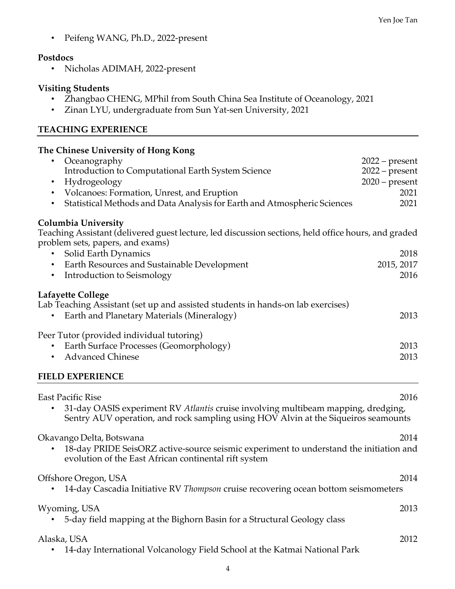• Peifeng WANG, Ph.D., 2022-present

### **Postdocs**

• Nicholas ADIMAH, 2022-present

## **Visiting Students**

- Zhangbao CHENG, MPhil from South China Sea Institute of Oceanology, 2021
- Zinan LYU, undergraduate from Sun Yat-sen University, 2021

## **TEACHING EXPERIENCE**

## **The Chinese University of Hong Kong**

| Oceanography                                                                                                                            | $2022$ – present |
|-----------------------------------------------------------------------------------------------------------------------------------------|------------------|
| Introduction to Computational Earth System Science                                                                                      | $2022$ – present |
| Hydrogeology<br>$\bullet$                                                                                                               | $2020$ – present |
| Volcanoes: Formation, Unrest, and Eruption<br>$\bullet$                                                                                 | 2021             |
| Statistical Methods and Data Analysis for Earth and Atmospheric Sciences<br>$\bullet$                                                   | 2021             |
| <b>Columbia University</b>                                                                                                              |                  |
| Teaching Assistant (delivered guest lecture, led discussion sections, held office hours, and graded<br>problem sets, papers, and exams) |                  |
| • Solid Earth Dynamics                                                                                                                  | 2018             |
| • Earth Resources and Sustainable Development                                                                                           | 2015, 2017       |
| Introduction to Seismology<br>$\bullet$                                                                                                 | 2016             |
| Lafayette College                                                                                                                       |                  |
| Lab Teaching Assistant (set up and assisted students in hands-on lab exercises)                                                         |                  |
| Earth and Planetary Materials (Mineralogy)                                                                                              | 2013             |
| Peer Tutor (provided individual tutoring)                                                                                               |                  |
| Earth Surface Processes (Geomorphology)                                                                                                 | 2013             |
| <b>Advanced Chinese</b>                                                                                                                 | 2013             |
| <b>FIELD EXPERIENCE</b>                                                                                                                 |                  |

| <b>East Pacific Rise</b><br>31-day OASIS experiment RV Atlantis cruise involving multibeam mapping, dredging,<br>Sentry AUV operation, and rock sampling using HOV Alvin at the Siqueiros seamounts | 2016 |
|-----------------------------------------------------------------------------------------------------------------------------------------------------------------------------------------------------|------|
| Okavango Delta, Botswana<br>18-day PRIDE SeisORZ active-source seismic experiment to understand the initiation and<br>evolution of the East African continental rift system                         | 2014 |
| Offshore Oregon, USA<br>14-day Cascadia Initiative RV Thompson cruise recovering ocean bottom seismometers                                                                                          | 2014 |
| Wyoming, USA<br>5-day field mapping at the Bighorn Basin for a Structural Geology class                                                                                                             | 2013 |
| Alaska, USA<br>14-day International Volcanology Field School at the Katmai National Park                                                                                                            | 2012 |